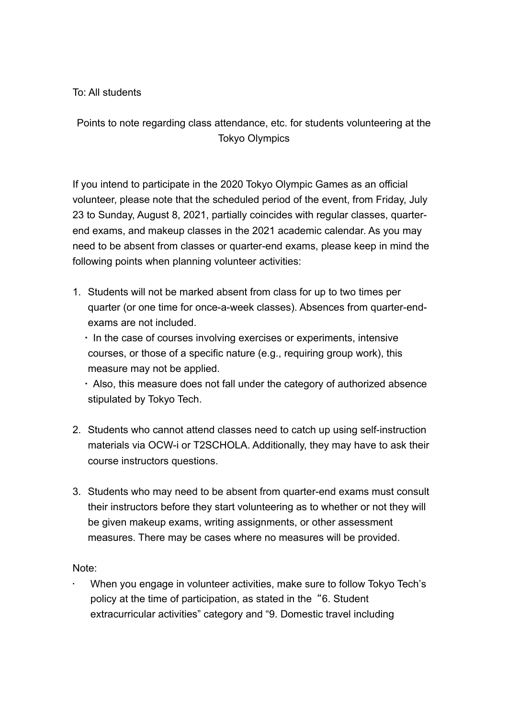To: All students

Points to note regarding class attendance, etc. for students volunteering at the Tokyo Olympics

If you intend to participate in the 2020 Tokyo Olympic Games as an official volunteer, please note that the scheduled period of the event, from Friday, July 23 to Sunday, August 8, 2021, partially coincides with regular classes, quarterend exams, and makeup classes in the 2021 academic calendar. As you may need to be absent from classes or quarter-end exams, please keep in mind the following points when planning volunteer activities:

- 1. Students will not be marked absent from class for up to two times per quarter (or one time for once-a-week classes). Absences from quarter-endexams are not included.
	- In the case of courses involving exercises or experiments, intensive courses, or those of a specific nature (e.g., requiring group work), this measure may not be applied.

 Also, this measure does not fall under the category of authorized absence stipulated by Tokyo Tech.

- 2. Students who cannot attend classes need to catch up using self-instruction materials via OCW-i or T2SCHOLA. Additionally, they may have to ask their course instructors questions.
- 3. Students who may need to be absent from quarter-end exams must consult their instructors before they start volunteering as to whether or not they will be given makeup exams, writing assignments, or other assessment measures. There may be cases where no measures will be provided.

Note:

• When you engage in volunteer activities, make sure to follow Tokyo Tech's policy at the time of participation, as stated in the "6. Student extracurricular activities" category and "9. Domestic travel including